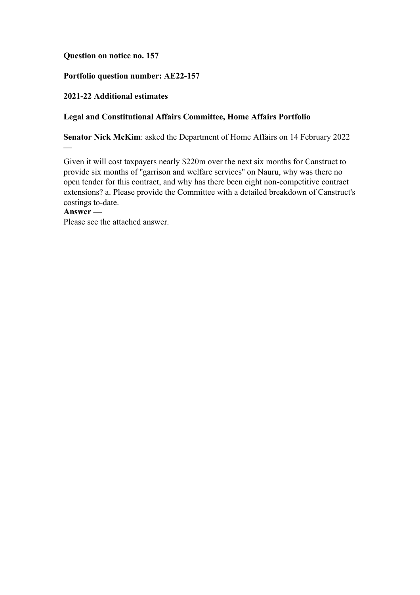## **Question on notice no. 157**

## **Portfolio question number: AE22-157**

### **2021-22 Additional estimates**

### **Legal and Constitutional Affairs Committee, Home Affairs Portfolio**

**Senator Nick McKim**: asked the Department of Home Affairs on 14 February 2022

Given it will cost taxpayers nearly \$220m over the next six months for Canstruct to provide six months of ''garrison and welfare services'' on Nauru, why was there no open tender for this contract, and why has there been eight non-competitive contract extensions? a. Please provide the Committee with a detailed breakdown of Canstruct's costings to-date.

# **Answer —**

—

Please see the attached answer.